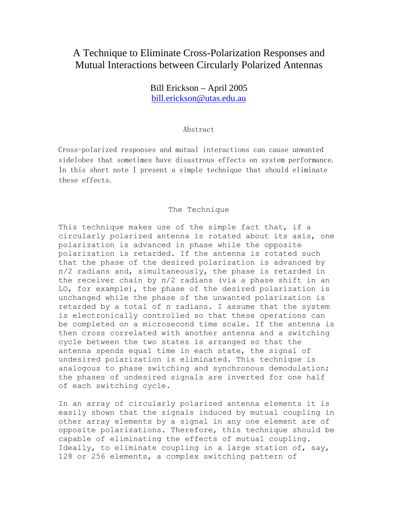## A Technique to Eliminate Cross-Polarization Responses and Mutual Interactions between Circularly Polarized Antennas

Bill Erickson – April 2005 bill.erickson@utas.edu.au

## Abstract

Cross-polarized responses and mutual interactions can cause unwanted sidelobes that sometimes have disastrous effects on system performance. In this short note I present a simple technique that should eliminate these effects.

## The Technique

This technique makes use of the simple fact that, if a circularly polarized antenna is rotated about its axis, one polarization is advanced in phase while the opposite polarization is retarded. If the antenna is rotated such that the phase of the desired polarization is advanced by π/2 radians and, simultaneously, the phase is retarded in the receiver chain by π/2 radians (via a phase shift in an LO, for example), the phase of the desired polarization is unchanged while the phase of the unwanted polarization is retarded by a total of π radians. I assume that the system is electronically controlled so that these operations can be completed on a microsecond time scale. If the antenna is then cross correlated with another antenna and a switching cycle between the two states is arranged so that the antenna spends equal time in each state, the signal of undesired polarization is eliminated. This technique is analogous to phase switching and synchronous demodulation; the phases of undesired signals are inverted for one half of each switching cycle.

In an array of circularly polarized antenna elements it is easily shown that the signals induced by mutual coupling in other array elements by a signal in any one element are of opposite polarizations. Therefore, this technique should be capable of eliminating the effects of mutual coupling. Ideally, to eliminate coupling in a large station of, say, 128 or 256 elements, a complex switching pattern of